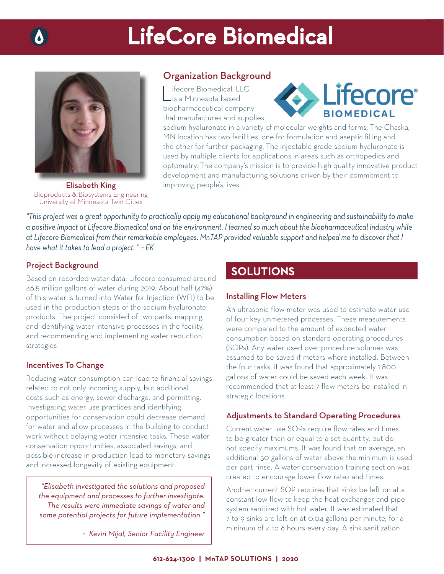# LifeCore Biomedical



Elisabeth King Bioproducts & Biosystems Engineering University of Minnesota Twin Cities

## Organization Background

ifecore Biomedical, LLC is a Minnesota based biopharmaceutical company that manufactures and supplies



sodium hyaluronate in a variety of molecular weights and forms. The Chaska, MN location has two facilities, one for formulation and aseptic filling and the other for further packaging. The injectable grade sodium hyaluronate is used by multiple clients for applications in areas such as orthopedics and optometry. The company's mission is to provide high quality innovative product development and manufacturing solutions driven by their commitment to improving people's lives.

*"This project was a great opportunity to practically apply my educational background in engineering and sustainability to make a positive impact at Lifecore Biomedical and on the environment. I learned so much about the biopharmaceutical industry while at Lifecore Biomedical from their remarkable employees. MnTAP provided valuable support and helped me to discover that I have what it takes to lead a project. " ~ EK*

### Project Background

Based on recorded water data, Lifecore consumed around 46.5 million gallons of water during 2019. About half (47%) of this water is turned into Water for Injection (WFI) to be used in the production steps of the sodium hyaluronate products. The project consisted of two parts: mapping and identifying water intensive processes in the facility, and recommending and implementing water reduction strategies

### Incentives To Change

Reducing water consumption can lead to financial savings related to not only incoming supply, but additional costs such as energy, sewer discharge, and permitting. Investigating water use practices and identifying opportunities for conservation could decrease demand for water and allow processes in the building to conduct work without delaying water intensive tasks. These water conservation opportunities, associated savings, and possible increase in production lead to monetary savings and increased longevity of existing equipment.

*"Elisabeth investigated the solutions and proposed the equipment and processes to further investigate. The results were immediate savings of water and some potential projects for future implementation."*

*~ Kevin Mijal, Senior Facility Engineer*

# **SOLUTIONS**

#### Installing Flow Meters

An ultrasonic flow meter was used to estimate water use of four key unmetered processes. These measurements were compared to the amount of expected water consumption based on standard operating procedures (SOPs). Any water used over procedure volumes was assumed to be saved if meters where installed. Between the four tasks, it was found that approximately 1,800 gallons of water could be saved each week. It was recommended that at least 7 flow meters be installed in strategic locations

### Adjustments to Standard Operating Procedures

Current water use SOPs require flow rates and times to be greater than or equal to a set quantity, but do not specify maximums. It was found that on average, an additional 30 gallons of water above the minimum is used per part rinse. A water conservation training section was created to encourage lower flow rates and times.

Another current SOP requires that sinks be left on at a constant low flow to keep the heat exchanger and pipe system sanitized with hot water. It was estimated that 7 to 9 sinks are left on at 0.04 gallons per minute, for a minimum of 4 to 6 hours every day. A sink sanitization